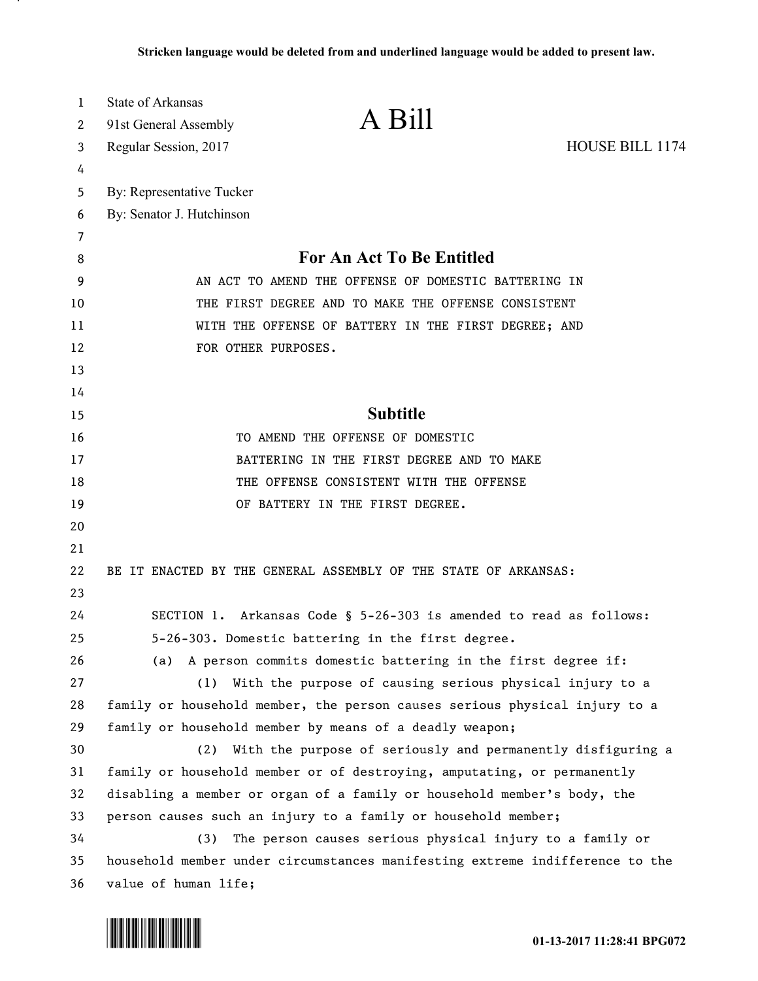| 1  | <b>State of Arkansas</b>                                                     |  |
|----|------------------------------------------------------------------------------|--|
| 2  | A Bill<br>91st General Assembly                                              |  |
| 3  | HOUSE BILL 1174<br>Regular Session, 2017                                     |  |
| 4  |                                                                              |  |
| 5  | By: Representative Tucker                                                    |  |
| 6  | By: Senator J. Hutchinson                                                    |  |
| 7  |                                                                              |  |
| 8  | For An Act To Be Entitled                                                    |  |
| 9  | AN ACT TO AMEND THE OFFENSE OF DOMESTIC BATTERING IN                         |  |
| 10 | THE FIRST DEGREE AND TO MAKE THE OFFENSE CONSISTENT                          |  |
| 11 | WITH THE OFFENSE OF BATTERY IN THE FIRST DEGREE; AND                         |  |
| 12 | FOR OTHER PURPOSES.                                                          |  |
| 13 |                                                                              |  |
| 14 |                                                                              |  |
| 15 | <b>Subtitle</b>                                                              |  |
| 16 | TO AMEND THE OFFENSE OF DOMESTIC                                             |  |
| 17 | BATTERING IN THE FIRST DEGREE AND TO MAKE                                    |  |
| 18 | THE OFFENSE CONSISTENT WITH THE OFFENSE                                      |  |
| 19 | OF BATTERY IN THE FIRST DEGREE.                                              |  |
| 20 |                                                                              |  |
| 21 |                                                                              |  |
| 22 | BE IT ENACTED BY THE GENERAL ASSEMBLY OF THE STATE OF ARKANSAS:              |  |
| 23 |                                                                              |  |
| 24 | SECTION 1. Arkansas Code § 5-26-303 is amended to read as follows:           |  |
| 25 | 5-26-303. Domestic battering in the first degree.                            |  |
| 26 | A person commits domestic battering in the first degree if:<br>(a)           |  |
| 27 | (1) With the purpose of causing serious physical injury to a                 |  |
| 28 | family or household member, the person causes serious physical injury to a   |  |
| 29 | family or household member by means of a deadly weapon;                      |  |
| 30 | (2) With the purpose of seriously and permanently disfiguring a              |  |
| 31 | family or household member or of destroying, amputating, or permanently      |  |
| 32 | disabling a member or organ of a family or household member's body, the      |  |
| 33 | person causes such an injury to a family or household member;                |  |
| 34 | The person causes serious physical injury to a family or<br>(3)              |  |
| 35 | household member under circumstances manifesting extreme indifference to the |  |
| 36 | value of human life;                                                         |  |



.